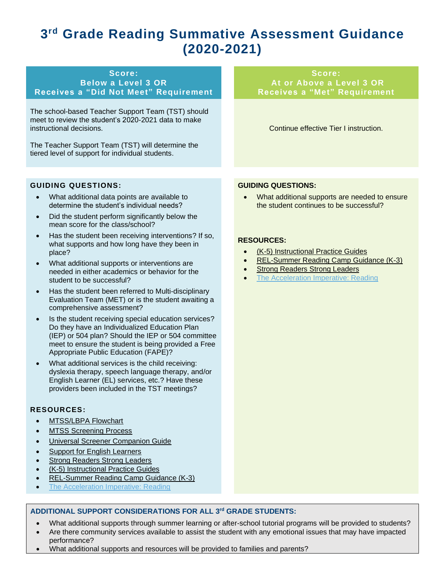# **3 rd Grade Reading Summative Assessment Guidance (2020-2021)**

#### **Score: Below a Level 3 OR Receives a "Did Not Meet" Requirement**

The school-based Teacher Support Team (TST) should meet to review the student's 2020-2021 data to make instructional decisions.

The Teacher Support Team (TST) will determine the tiered level of support for individual students.

# **At or Above a Level 3 OR Receives a "Met" Requirement**

Continue effective Tier I instruction.

**Score:**

#### **GUIDING QUESTIONS:**

- What additional data points are available to determine the student's individual needs?
- Did the student perform significantly below the mean score for the class/school?
- Has the student been receiving interventions? If so, what supports and how long have they been in place?
- What additional supports or interventions are needed in either academics or behavior for the student to be successful?
- Has the student been referred to Multi-disciplinary Evaluation Team (MET) or is the student awaiting a comprehensive assessment?
- Is the student receiving special education services? Do they have an Individualized Education Plan (IEP) or 504 plan? Should the IEP or 504 committee meet to ensure the student is being provided a Free Appropriate Public Education (FAPE)?
- What additional services is the child receiving: dyslexia therapy, speech language therapy, and/or English Learner (EL) services, etc.? Have these providers been included in the TST meetings?

#### **RESOURCES:**

- [MTSS/LBPA Flowchart](https://www.mdek12.org/sites/default/files/Offices/MDE/OAE/OEER/Intervention/lbpa_flowchart.pdf)
- **[MTSS Screening Process](https://www.mdek12.org/sites/default/files/Offices/MDE/OAE/OEER/Intervention/MTSS_ScreeningProcessGuide.pdf)**
- [Universal Screener Companion Guide](https://www.mdek12.org/sites/default/files/Offices/MDE/OA/OSA/screener-companion-guide-2018.08.pdf)
- [Support for English Learners](https://www.mdek12.org/EL)
- [Strong Readers Strong](https://strongreadersms.com/) Leaders
- [\(K-5\) Instructional Practice Guides](https://www.mdek12.org/secondaryeducation/englishlanguage/Instructional-Planning-Guides-for-English-Language-Arts-K-12)
- [REL-Summer Reading Camp Guidance \(K-3\)](https://ies.ed.gov/ncee/edlabs/regions/southeast/pdf/REL_2015070.pdf)
- [The Acceleration Imperative: Reading](https://caocentral.wiki/reading)

### **ADDITIONAL SUPPORT CONSIDERATIONS FOR ALL 3rd GRADE STUDENTS:**

- What additional supports through summer learning or after-school tutorial programs will be provided to students?
- Are there community services available to assist the student with any emotional issues that may have impacted performance?
- What additional supports and resources will be provided to families and parents?

#### **GUIDING QUESTIONS:**

• What additional supports are needed to ensure the student continues to be successful?

#### **RESOURCES:**

- [\(K-5\) Instructional Practice Guides](https://www.mdek12.org/secondaryeducation/englishlanguage/Instructional-Planning-Guides-for-English-Language-Arts-K-12)
- [REL-Summer Reading Camp Guidance \(K-3\)](https://ies.ed.gov/ncee/edlabs/regions/southeast/pdf/REL_2015070.pdf)
- **[Strong Readers Strong Leaders](https://strongreadersms.com/)**
- **[The Acceleration Imperative: Reading](https://caocentral.wiki/reading)**